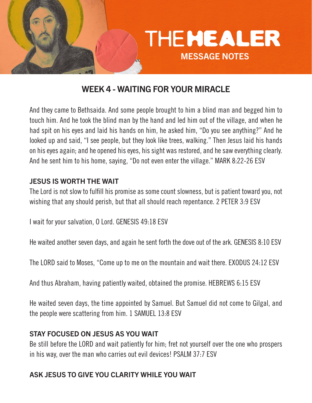

# WEEK 4 - WAITING FOR YOUR MIRACLE

And they came to Bethsaida. And some people brought to him a blind man and begged him to touch him. And he took the blind man by the hand and led him out of the village, and when he had spit on his eyes and laid his hands on him, he asked him, "Do you see anything?" And he looked up and said, "I see people, but they look like trees, walking." Then Jesus laid his hands on his eyes again; and he opened his eyes, his sight was restored, and he saw everything clearly. And he sent him to his home, saying, "Do not even enter the village." MARK 8:22-26 ESV

#### JESUS IS WORTH THE WAIT

The Lord is not slow to fulfill his promise as some count slowness, but is patient toward you, not wishing that any should perish, but that all should reach repentance. 2 PETER 3:9 ESV

I wait for your salvation, O Lord. GENESIS 49:18 ESV

He waited another seven days, and again he sent forth the dove out of the ark. GENESIS 8:10 ESV

The LORD said to Moses, "Come up to me on the mountain and wait there. EXODUS 24:12 ESV

And thus Abraham, having patiently waited, obtained the promise. HEBREWS 6:15 ESV

He waited seven days, the time appointed by Samuel. But Samuel did not come to Gilgal, and the people were scattering from him. 1 SAMUEL 13:8 ESV

#### STAY FOCUSED ON JESUS AS YOU WAIT

Be still before the LORD and wait patiently for him; fret not yourself over the one who prospers in his way, over the man who carries out evil devices! PSALM 37:7 ESV

### ASK JESUS TO GIVE YOU CLARITY WHILE YOU WAIT